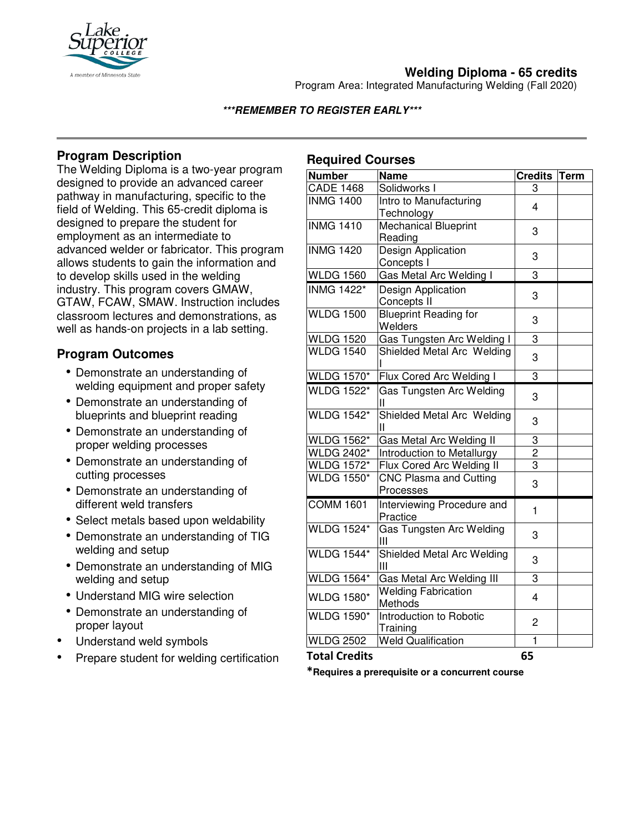

# **Welding Diploma - 65 credits**

Program Area: Integrated Manufacturing Welding (Fall 2020)

### **\*\*\*REMEMBER TO REGISTER EARLY\*\*\***

# **Program Description**

The Welding Diploma is a two-year program designed to provide an advanced career pathway in manufacturing, specific to the field of Welding. This 65-credit diploma is designed to prepare the student for employment as an intermediate to advanced welder or fabricator. This program allows students to gain the information and to develop skills used in the welding industry. This program covers GMAW, GTAW, FCAW, SMAW. Instruction includes classroom lectures and demonstrations, as well as hands-on projects in a lab setting.

## **Program Outcomes**

- Demonstrate an understanding of welding equipment and proper safety
- Demonstrate an understanding of blueprints and blueprint reading
- Demonstrate an understanding of proper welding processes
- Demonstrate an understanding of cutting processes
- Demonstrate an understanding of different weld transfers
- Select metals based upon weldability
- Demonstrate an understanding of TIG welding and setup
- Demonstrate an understanding of MIG welding and setup
- Understand MIG wire selection
- Demonstrate an understanding of proper layout
- Understand weld symbols
- Prepare student for welding certification

# **Required Courses**

| <b>Number</b>     | <b>Name</b>                                | Credits Term   |  |
|-------------------|--------------------------------------------|----------------|--|
| <b>CADE 1468</b>  | Solidworks I                               | 3              |  |
| <b>INMG 1400</b>  | Intro to Manufacturing<br>Technology       | 4              |  |
| <b>INMG 1410</b>  | <b>Mechanical Blueprint</b><br>Reading     | 3              |  |
| <b>INMG 1420</b>  | Design Application<br>Concepts I           | 3              |  |
| <b>WLDG 1560</b>  | Gas Metal Arc Welding I                    | 3              |  |
| <b>INMG 1422*</b> | Design Application<br>Concepts II          | 3              |  |
| <b>WLDG 1500</b>  | <b>Blueprint Reading for</b><br>Welders    | 3              |  |
| <b>WLDG 1520</b>  | Gas Tungsten Arc Welding I                 | 3              |  |
| <b>WLDG 1540</b>  | Shielded Metal Arc Welding                 | 3              |  |
| <b>WLDG 1570*</b> | Flux Cored Arc Welding I                   | 3              |  |
| <b>WLDG 1522*</b> | Gas Tungsten Arc Welding<br>Ш              | 3              |  |
| <b>WLDG 1542*</b> | Shielded Metal Arc Welding<br>Ш            | 3              |  |
| <b>WLDG 1562*</b> | Gas Metal Arc Welding II                   | 3              |  |
| <b>WLDG 2402*</b> | Introduction to Metallurgy                 | $\frac{2}{3}$  |  |
| <b>WLDG 1572*</b> | Flux Cored Arc Welding II                  |                |  |
| <b>WLDG 1550*</b> | <b>CNC Plasma and Cutting</b><br>Processes | 3              |  |
| <b>COMM 1601</b>  | Interviewing Procedure and<br>Practice     | 1              |  |
| <b>WLDG 1524*</b> | <b>Gas Tungsten Arc Welding</b><br>Ш       | 3              |  |
| <b>WLDG 1544*</b> | Shielded Metal Arc Welding<br>Ш            | 3              |  |
| <b>WLDG 1564*</b> | Gas Metal Arc Welding III                  | 3              |  |
| <b>WLDG 1580*</b> | <b>Welding Fabrication</b><br>Methods      | 4              |  |
| <b>WLDG 1590*</b> | Introduction to Robotic<br>Training        | $\overline{c}$ |  |
| <b>WLDG 2502</b>  | <b>Weld Qualification</b>                  | 1              |  |

#### **Total Credits 65**

**\*Requires a prerequisite or a concurrent course**